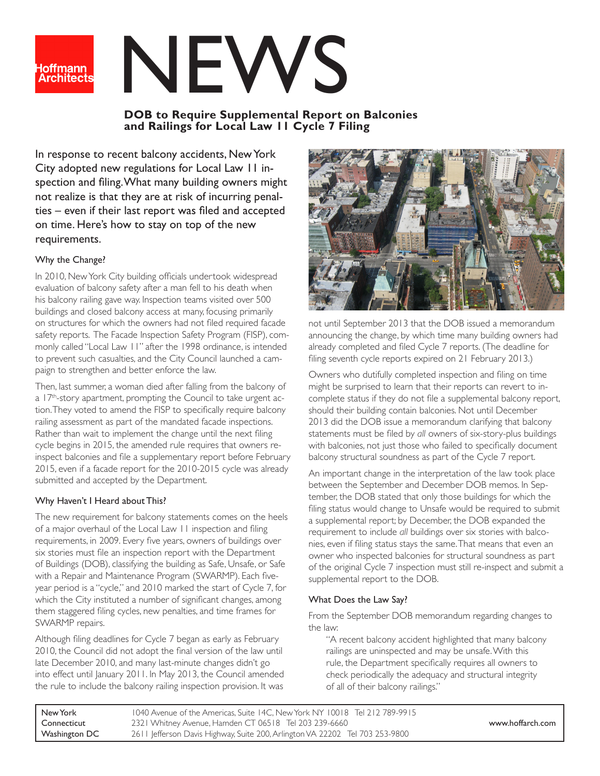

# NEWS

# **DOB to Require Supplemental Report on Balconies and Railings for Local Law 11 Cycle 7 Filing**

In response to recent balcony accidents, New York City adopted new regulations for Local Law 11 inspection and filing. What many building owners might not realize is that they are at risk of incurring penalties – even if their last report was filed and accepted on time. Here's how to stay on top of the new requirements.

### Why the Change?

In 2010, New York City building officials undertook widespread evaluation of balcony safety after a man fell to his death when his balcony railing gave way. Inspection teams visited over 500 buildings and closed balcony access at many, focusing primarily on structures for which the owners had not filed required facade safety reports. The Facade Inspection Safety Program (FISP), commonly called "Local Law 11" after the 1998 ordinance, is intended to prevent such casualties, and the City Council launched a campaign to strengthen and better enforce the law.

Then, last summer, a woman died after falling from the balcony of a 17<sup>th</sup>-story apartment, prompting the Council to take urgent action. They voted to amend the FISP to specifically require balcony railing assessment as part of the mandated facade inspections. Rather than wait to implement the change until the next filing cycle begins in 2015, the amended rule requires that owners reinspect balconies and file a supplementary report before February 2015, even if a facade report for the 2010-2015 cycle was already submitted and accepted by the Department.

## Why Haven't I Heard about This?

The new requirement for balcony statements comes on the heels of a major overhaul of the Local Law 11 inspection and filing requirements, in 2009. Every five years, owners of buildings over six stories must file an inspection report with the Department of Buildings (DOB), classifying the building as Safe, Unsafe, or Safe with a Repair and Maintenance Program (SWARMP). Each fiveyear period is a "cycle," and 2010 marked the start of Cycle 7, for which the City instituted a number of significant changes, among them staggered filing cycles, new penalties, and time frames for SWARMP repairs.

Although filing deadlines for Cycle 7 began as early as February 2010, the Council did not adopt the final version of the law until late December 2010, and many last-minute changes didn't go into effect until January 2011. In May 2013, the Council amended the rule to include the balcony railing inspection provision. It was



not until September 2013 that the DOB issued a memorandum announcing the change, by which time many building owners had already completed and filed Cycle 7 reports. (The deadline for filing seventh cycle reports expired on 21 February 2013.)

Owners who dutifully completed inspection and filing on time might be surprised to learn that their reports can revert to incomplete status if they do not file a supplemental balcony report, should their building contain balconies. Not until December 2013 did the DOB issue a memorandum clarifying that balcony statements must be filed by *all* owners of six-story-plus buildings with balconies, not just those who failed to specifically document balcony structural soundness as part of the Cycle 7 report.

An important change in the interpretation of the law took place between the September and December DOB memos. In September, the DOB stated that only those buildings for which the filing status would change to Unsafe would be required to submit a supplemental report; by December, the DOB expanded the requirement to include *all* buildings over six stories with balconies, even if filing status stays the same. That means that even an owner who inspected balconies for structural soundness as part of the original Cycle 7 inspection must still re-inspect and submit a supplemental report to the DOB.

## What Does the Law Say?

From the September DOB memorandum regarding changes to the law:

"A recent balcony accident highlighted that many balcony railings are uninspected and may be unsafe. With this rule, the Department specifically requires all owners to check periodically the adequacy and structural integrity of all of their balcony railings."

| New York      | 1040 Avenue of the Americas, Suite 14C, New York NY 10018 Tel 212 789-9915   |                  |
|---------------|------------------------------------------------------------------------------|------------------|
| Connecticut   | 2321 Whitney Avenue, Hamden CT 06518 Tel 203 239-6660                        | www.hoffarch.com |
| Washington DC | 2611 Jefferson Davis Highway, Suite 200, Arlington VA 22202 Tel 703 253-9800 |                  |